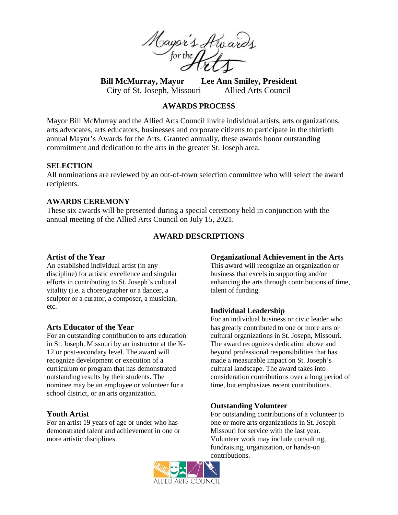

**Bill McMurray, Mayor Lee Ann Smiley, President** City of St. Joseph, Missouri Allied Arts Council

## **AWARDS PROCESS**

Mayor Bill McMurray and the Allied Arts Council invite individual artists, arts organizations, arts advocates, arts educators, businesses and corporate citizens to participate in the thirtieth annual Mayor's Awards for the Arts. Granted annually, these awards honor outstanding commitment and dedication to the arts in the greater St. Joseph area.

#### **SELECTION**

All nominations are reviewed by an out-of-town selection committee who will select the award recipients.

## **AWARDS CEREMONY**

These six awards will be presented during a special ceremony held in conjunction with the annual meeting of the Allied Arts Council on July 15, 2021.

# **AWARD DESCRIPTIONS**

#### **Artist of the Year**

An established individual artist (in any discipline) for artistic excellence and singular efforts in contributing to St. Joseph's cultural vitality (i.e. a choreographer or a dancer, a sculptor or a curator, a composer, a musician, etc.

#### **Arts Educator of the Year**

For an outstanding contribution to arts education in St. Joseph, Missouri by an instructor at the K-12 or post-secondary level. The award will recognize development or execution of a curriculum or program that has demonstrated outstanding results by their students. The nominee may be an employee or volunteer for a school district, or an arts organization.

#### **Youth Artist**

For an artist 19 years of age or under who has demonstrated talent and achievement in one or more artistic disciplines.

#### **Organizational Achievement in the Arts**

This award will recognize an organization or business that excels in supporting and/or enhancing the arts through contributions of time, talent of funding.

#### **Individual Leadership**

For an individual business or civic leader who has greatly contributed to one or more arts or cultural organizations in St. Joseph, Missouri. The award recognizes dedication above and beyond professional responsibilities that has made a measurable impact on St. Joseph's cultural landscape. The award takes into consideration contributions over a long period of time, but emphasizes recent contributions.

#### **Outstanding Volunteer**

For outstanding contributions of a volunteer to one or more arts organizations in St. Joseph Missouri for service with the last year. Volunteer work may include consulting, fundraising, organization, or hands-on contributions.